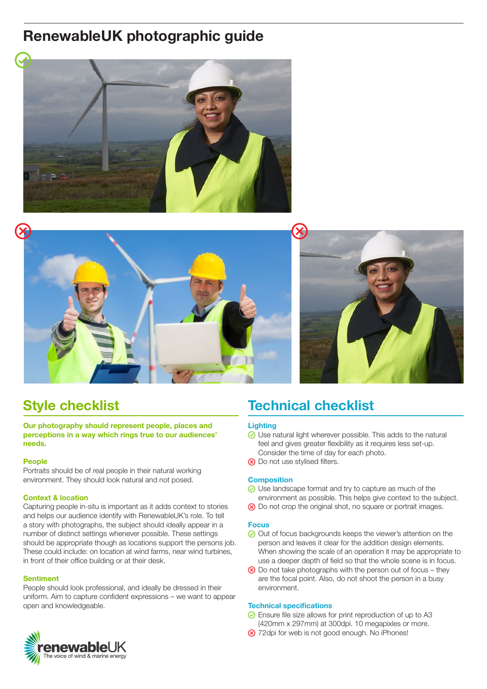# **RenewableUK photographic guide**





## **Style checklist**

**Our photography should represent people, places and perceptions in a way which rings true to our audiences' needs.**

### **People**

Portraits should be of real people in their natural working environment. They should look natural and not posed.

### **Context & location**

Capturing people in-situ is important as it adds context to stories and helps our audience identify with RenewableUK's role. To tell a story with photographs, the subject should ideally appear in a number of distinct settings whenever possible. These settings should be appropriate though as locations support the persons job. These could include: on location at wind farms, near wind turbines, in front of their office building or at their desk.

### **Sentiment**

People should look professional, and ideally be dressed in their uniform. Aim to capture confident expressions – we want to appear open and knowledgeable.



### **Lighting**

- Use natural light wherever possible. This adds to the natural feel and gives greater flexibility as it requires less set-up. Consider the time of day for each photo.
- **(8)** Do not use stylised filters.

### **Composition**

- ◯ Use landscape format and try to capture as much of the environment as possible. This helps give context to the subject.
- $\otimes$  Do not crop the original shot, no square or portrait images.

### **Focus**

- $\odot$  Out of focus backgrounds keeps the viewer's attention on the person and leaves it clear for the addition design elements. When showing the scale of an operation it may be appropriate to use a deeper depth of field so that the whole scene is in focus.
- $\otimes$  Do not take photographs with the person out of focus they are the focal point. Also, do not shoot the person in a busy environment.

### **Technical specifications**

- Ensure file size allows for print reproduction of up to A3
- (420mm x 297mm) at 300dpi. 10 megapixles or more.
- 8 72dpi for web is not good enough. No iPhones!

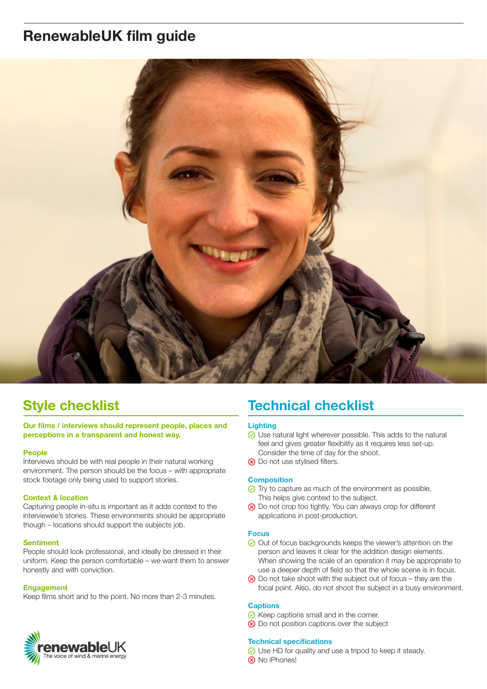# **RenewableUK film guide**



## **Style checklist**

**Our films / interviews should represent people, places and perceptions in a transparent and honest way.**

### **People**

Interviews should be with real people in their natural working environment. The person should be the focus – with appropriate stock footage only being used to support stories.

### **Context & location**

Capturing people in-situ is important as it adds context to the interviewee's stories. These environments should be appropriate though – locations should support the subjects job.

### **Sentiment**

People should look professional, and ideally be dressed in their uniform. Keep the person comfortable – we want them to answer honestly and with conviction.

#### **Engagement**

Keep films short and to the point. No more than 2-3 minutes.



### **Lighting**

- Use natural light wherever possible. This adds to the natural feel and gives greater flexibility as it requires less set-up. Consider the time of day for the shoot.
- **(8)** Do not use stylised filters.

### **Composition**

- $\odot$  Try to capture as much of the environment as possible. This helps give context to the subject.
- **(8)** Do not crop too tightly. You can always crop for different applications in post-production.

#### **Focus**

- **⊘** Out of focus backgrounds keeps the viewer's attention on the person and leaves it clear for the addition design elements. When showing the scale of an operation it may be appropriate to use a deeper depth of field so that the whole scene is in focus.
- $\otimes$  Do not take shoot with the subject out of focus they are the focal point. Also, do not shoot the subject in a busy environment.

#### **Captions**

- $\odot$  Keep captions small and in the corner.
- $\otimes$  Do not position captions over the subject

#### **Technical specifications**

- **⊘** Use HD for quality and use a tripod to keep it steady.
- **(x)** No iPhones!